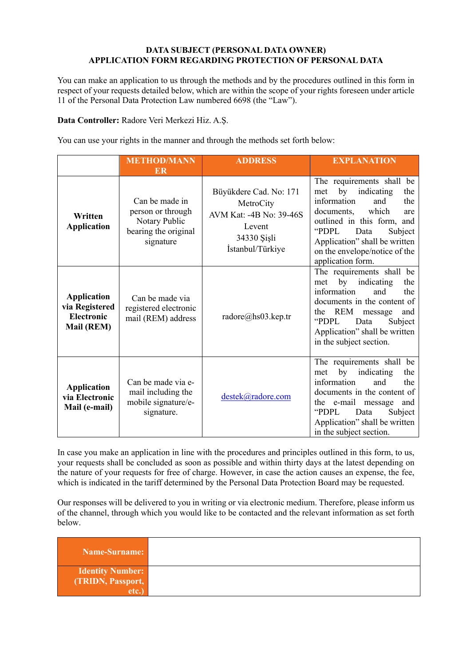## **DATA SUBJECT (PERSONAL DATA OWNER) APPLICATION FORM REGARDING PROTECTION OF PERSONAL DATA**

You can make an application to us through the methods and by the procedures outlined in this form in respect of your requests detailed below, which are within the scope of your rights foreseen under article 11 of the Personal Data Protection Law numbered 6698 (the "Law").

Data Controller: Radore Veri Merkezi Hiz. A.Ş.

You can use your rights in the manner and through the methods set forth below:

|                                                                                | <b>METHOD/MANN</b><br>ER                                                                  | <b>ADDRESS</b>                                                                                              | <b>EXPLANATION</b>                                                                                                                                                                                                                                                       |
|--------------------------------------------------------------------------------|-------------------------------------------------------------------------------------------|-------------------------------------------------------------------------------------------------------------|--------------------------------------------------------------------------------------------------------------------------------------------------------------------------------------------------------------------------------------------------------------------------|
| Written<br><b>Application</b>                                                  | Can be made in<br>person or through<br>Notary Public<br>bearing the original<br>signature | Büyükdere Cad. No: 171<br>MetroCity<br>AVM Kat: -4B No: 39-46S<br>Levent<br>34330 Şişli<br>İstanbul/Türkiye | The requirements shall be<br>by<br>indicating<br>the<br>met<br>information<br>the<br>and<br>which<br>documents,<br>are<br>outlined in this form, and<br>"PDPL"<br>Data<br>Subject<br>Application" shall be written<br>on the envelope/notice of the<br>application form. |
| <b>Application</b><br>via Registered<br><b>Electronic</b><br><b>Mail (REM)</b> | Can be made via<br>registered electronic<br>mail (REM) address                            | radore@hs03.kep.tr                                                                                          | The requirements shall be<br>by indicating<br>the<br>met<br>information<br>and<br>the<br>documents in the content of<br><b>REM</b><br>the<br>message<br>and<br>"PDPL"<br>Data<br>Subject<br>Application" shall be written<br>in the subject section.                     |
| <b>Application</b><br>via Electronic<br>Mail (e-mail)                          | Can be made via e-<br>mail including the<br>mobile signature/e-<br>signature.             | destek@radore.com                                                                                           | The requirements shall be<br>indicating<br>by<br>the<br>met<br>and<br>information<br>the<br>documents in the content of<br>the e-mail message<br>and<br>"PDPL"<br>Data<br>Subject<br>Application" shall be written<br>in the subject section.                            |

In case you make an application in line with the procedures and principles outlined in this form, to us, your requests shall be concluded as soon as possible and within thirty days at the latest depending on the nature of your requests for free of charge. However, in case the action causes an expense, the fee, which is indicated in the tariff determined by the Personal Data Protection Board may be requested.

Our responses will be delivered to you in writing or via electronic medium. Therefore, please inform us of the channel, through which you would like to be contacted and the relevant information as set forth below.

| Name-Surname:           |  |
|-------------------------|--|
| <b>Identity Number:</b> |  |
| (TRIDN, Passport,       |  |
| etc.                    |  |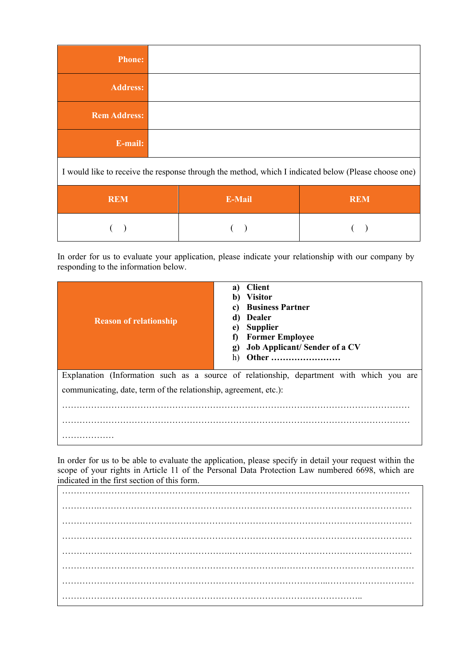| <b>Phone:</b>                                                                                        |  |  |  |
|------------------------------------------------------------------------------------------------------|--|--|--|
| <b>Address:</b>                                                                                      |  |  |  |
| <b>Rem Address:</b>                                                                                  |  |  |  |
| E-mail:                                                                                              |  |  |  |
| I would like to receive the response through the method, which I indicated below (Please choose one) |  |  |  |
|                                                                                                      |  |  |  |

| <b>REM</b> | E-Mail | <b>REM</b> |
|------------|--------|------------|
|            |        |            |

In order for us to evaluate your application, please indicate your relationship with our company by responding to the information below.

| <b>Reason of relationship</b>                                    | <b>Client</b><br>a)<br>b) Visitor<br><b>Business Partner</b><br>c)<br><b>Dealer</b><br>d)<br><b>Supplier</b><br>e)<br><b>Former Employee</b><br>f)<br>g) Job Applicant/Sender of a CV<br>h)<br><b>Other </b> |  |  |  |  |
|------------------------------------------------------------------|--------------------------------------------------------------------------------------------------------------------------------------------------------------------------------------------------------------|--|--|--|--|
|                                                                  | Explanation (Information such as a source of relationship, department with which you are                                                                                                                     |  |  |  |  |
| communicating, date, term of the relationship, agreement, etc.): |                                                                                                                                                                                                              |  |  |  |  |
|                                                                  |                                                                                                                                                                                                              |  |  |  |  |
|                                                                  |                                                                                                                                                                                                              |  |  |  |  |
|                                                                  |                                                                                                                                                                                                              |  |  |  |  |

In order for us to be able to evaluate the application, please specify in detail your request within the scope of your rights in Article 11 of the Personal Data Protection Law numbered 6698, which are indicated in the first section of this form.

………………………………………………………………………………………………………… ………….……………………………………………………………………………………………… ……………………….………………………………………………………………………………… …………………………………….…………………………………………………………………… ………………………………………………….……………………………………………………… …………………………………………………………………..……………………………………… ………………………………………………………………………………..………………………… …………………………………………………………………………………………..